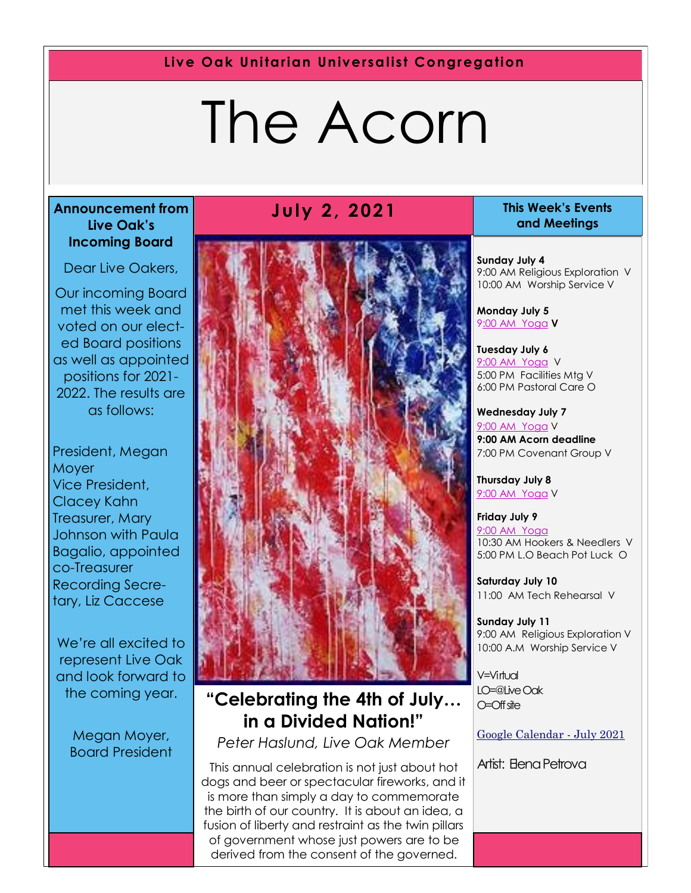**Live Oak Unitarian Universalist Congregation**

# The Acorn

#### **Announcement from Live Oak's Incoming Board**

Dear Live Oakers,

Our incoming Board met this week and voted on our elected Board positions as well as appointed positions for 2021- 2022. The results are as follows:

President, Megan **Moyer** Vice President, Clacey Kahn Treasurer, Mary Johnson with Paula Bagalio, appointed co-Treasurer Recording Secretary, Liz Caccese

We're all excited to represent Live Oak and look forward to the coming year.

> Megan Moyer, Board President

#### **July 2, 2021 This Week's Events**



#### **"Celebrating the 4th of July… in a Divided Nation!"**

*Peter Haslund, Live Oak Member*

This annual celebration is not just about hot dogs and beer or spectacular fireworks, and it is more than simply a day to commemorate the birth of our country. It is about an idea, a fusion of liberty and restraint as the twin pillars of government whose just powers are to be derived from the consent of the governed.

# **and Meetings**

**Sunday July 4** 9:00 AM Religious Exploration V 10:00 AM Worship Service V

**Monday July 5** 9[:00 AM Yoga](https://us02web.zoom.us/j/86278199291?pwd=WUh1MFJyVXNVOTIyQ1NmanJoSmNXQT09) **V**

**Tuesday July 6** [9:](https://us02web.zoom.us/meeting/register/tZ0pc-6qrTwqH9WUfmrB_nZu0MWqJ8CyS3Uw)[00 AM Yoga](https://us02web.zoom.us/j/86278199291?pwd=WUh1MFJyVXNVOTIyQ1NmanJoSmNXQT09) V 5:00 PM Facilities Mtg V 6:00 PM Pastoral Care O

**Wednesday July 7** [9:](https://us02web.zoom.us/meeting/register/tZ0pc-6qrTwqH9WUfmrB_nZu0MWqJ8CyS3Uw)[00 AM Yoga](https://us02web.zoom.us/j/86278199291?pwd=WUh1MFJyVXNVOTIyQ1NmanJoSmNXQT09) V **9:00 AM Acorn deadline** 7:00 PM Covenant Group V

**Thursday July 8** [9:](https://us02web.zoom.us/meeting/register/tZ0pc-6qrTwqH9WUfmrB_nZu0MWqJ8CyS3Uw)[00 AM Yoga](https://us02web.zoom.us/j/86278199291?pwd=WUh1MFJyVXNVOTIyQ1NmanJoSmNXQT09) V

**Friday July 9** [9:](https://us02web.zoom.us/meeting/register/tZ0pc-6qrTwqH9WUfmrB_nZu0MWqJ8CyS3Uw)[00 AM Yoga](https://us02web.zoom.us/j/86278199291?pwd=WUh1MFJyVXNVOTIyQ1NmanJoSmNXQT09) 10:30 AM Hookers & Needlers V 5:00 PM L.O Beach Pot Luck O

**Saturday July 10** 11:00 AM Tech Rehearsal V

**Sunday July 11** 9:00 AM Religious Exploration V 10:00 A.M Worship Service V

V=Virtual LO=@Live Oak O=Off site

[Google Calendar -](https://calendar.google.com/calendar/u/1/r/month/2021/7/1) July 2021

Artist: Elena Petrova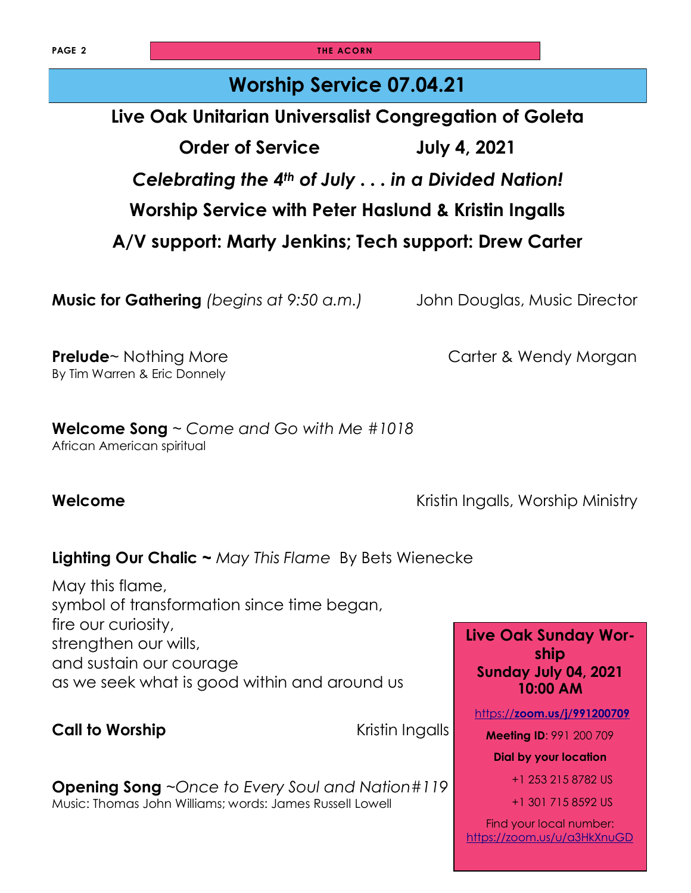**PAGE 2 THE ACORN** 

#### **Worship Service 07.04.21**

**Live Oak Unitarian Universalist Congregation of Goleta**

**Order of Service July 4, 2021** *Celebrating the 4th of July . . . in a Divided Nation!*

**Worship Service with Peter Haslund & Kristin Ingalls**

**A/V support: Marty Jenkins; Tech support: Drew Carter**

**Music for Gathering** *(begins at 9:50 a.m.)* John Douglas, Music Director

**Prelude**~ Nothing More **Carter & Wendy Morgan** By Tim Warren & Eric Donnely

**Welcome Song** ~ *Come and Go with Me #1018* African American spiritual

**Welcome Welcome Welcome Kristin Ingalls, Worship Ministry** 

#### **Lighting Our Chalic ~** *May This Flame* By [Bets Wienecke](https://www.uua.org/offices/people/bets-wienecke)

May this flame, symbol of transformation since time began, fire our curiosity, strengthen our wills, and sustain our courage as we seek what is good within and around us

**Call to Worship Call to Worship** *Kristin Ingalls* 

**Opening Song** ~*Once to Every Soul and Nation#119* Music: Thomas John Williams; words: James Russell Lowell

**Live Oak Sunday Worship Sunday July 04, 2021 10:00 AM**

https://**[zoom.us/j/991200709](https://zoom.us/j/991200709)**

**Meeting ID**: 991 200 709

**Dial by your location** 

+1 253 215 8782 US

+1 301 715 8592 US

Find your local number: <https://zoom.us/u/a3HkXnuGD>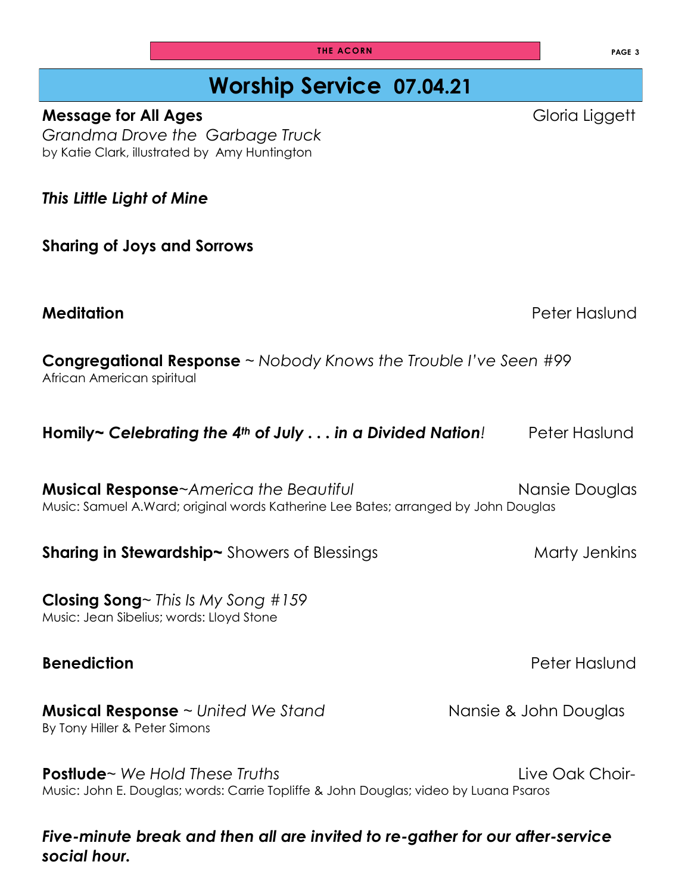### **Worship Service 07.04.21**

*Grandma Drove the Garbage Truck* by [Katie Clark,](https://www.amazon.com/s/ref=dp_byline_sr_book_1?ie=UTF8&field-author=Katie++Clark&text=Katie++Clark&sort=relevancerank&search-alias=books) illustrated by [Amy Huntington](https://www.amazon.com/Amy-Huntington/e/B001H9PQMK/ref=dp_byline_cont_book_2) 

*This Little Light of Mine*

**Sharing of Joys and Sorrows**

**Meditation Peter Hasily Report of the Second Line Control of the Peter Hasily References** 

**Congregational Response** ~ *Nobody Knows the Trouble I've Seen #99*  African American spiritual

| Homily~ Celebrating the 4th of July $\dots$ in a Divided Nation! | Peter Haslund |
|------------------------------------------------------------------|---------------|
|------------------------------------------------------------------|---------------|

**Musical Response**~America the Beautiful **Nansie Douglas** Nansie Douglas Music: Samuel A.Ward; original words Katherine Lee Bates; arranged by John Douglas

**Sharing in Stewardship~** Showers of Blessings Marty Jenkins Marty Jenkins

**Closing Song**~ *This Is My Song #159*

Music: Jean Sibelius; words: Lloyd Stone

#### **Musical Response** ~ *United We Stand* Nansie & John Douglas By Tony Hiller & Peter Simons

**Postlude** ~ We Hold These Truths **Live Oak Choir- Live Oak Choir-**Music: John E. Douglas; words: Carrie Topliffe & John Douglas; video by Luana Psaros

*Five-minute break and then all are invited to re-gather for our after-service social hour.*

**THE ACORN PAGE 3** 

**Message for All Ages Gloria Liggett Gloria Liggett** 

**Benediction Benediction**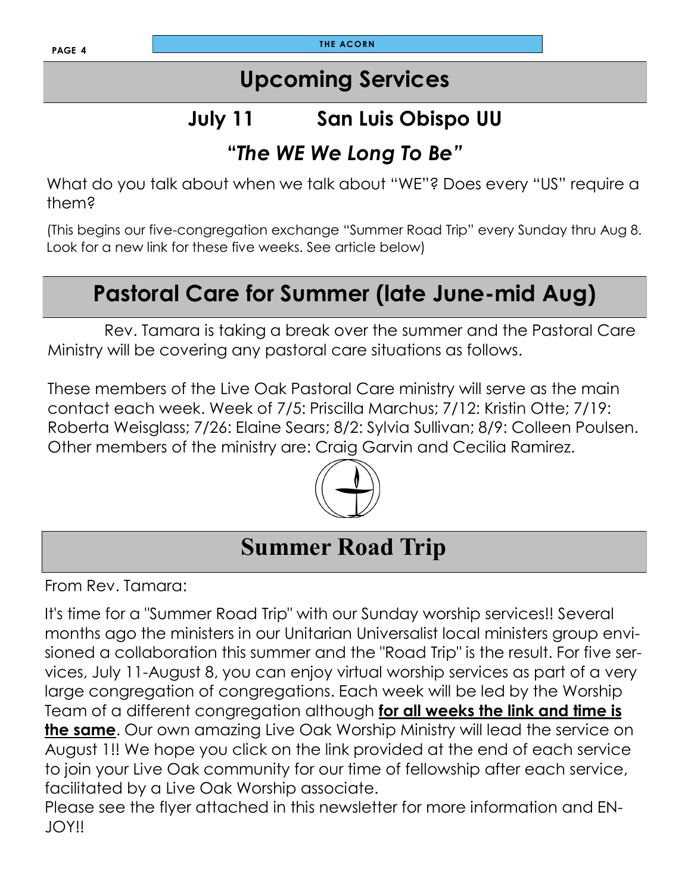# **Upcoming Services**

# **July 11 San Luis Obispo UU**

#### **"***The WE We Long To Be"*

What do you talk about when we talk about "WE"? Does every "US" require a them?

(This begins our five-congregation exchange "Summer Road Trip" every Sunday thru Aug 8. Look for a new link for these five weeks. See article below)

# **Pastoral Care for Summer (late June-mid Aug)**

 Rev. Tamara is taking a break over the summer and the Pastoral Care Ministry will be covering any pastoral care situations as follows.

These members of the Live Oak Pastoral Care ministry will serve as the main contact each week. Week of 7/5: Priscilla Marchus; 7/12: Kristin Otte; 7/19: Roberta Weisglass; 7/26: Elaine Sears; 8/2: Sylvia Sullivan; 8/9: Colleen Poulsen. Other members of the ministry are: Craig Garvin and Cecilia Ramirez.



# **Summer Road Trip**

From Rev. Tamara:

It's time for a "Summer Road Trip" with our Sunday worship services!! Several months ago the ministers in our Unitarian Universalist local ministers group envisioned a collaboration this summer and the "Road Trip" is the result. For five services, July 11-August 8, you can enjoy virtual worship services as part of a very large congregation of congregations. Each week will be led by the Worship Team of a different congregation although **for all weeks the link and time is the same**. Our own amazing Live Oak Worship Ministry will lead the service on August 1!! We hope you click on the link provided at the end of each service to join your Live Oak community for our time of fellowship after each service, facilitated by a Live Oak Worship associate.

Please see the flyer attached in this newsletter for more information and EN-JOY!!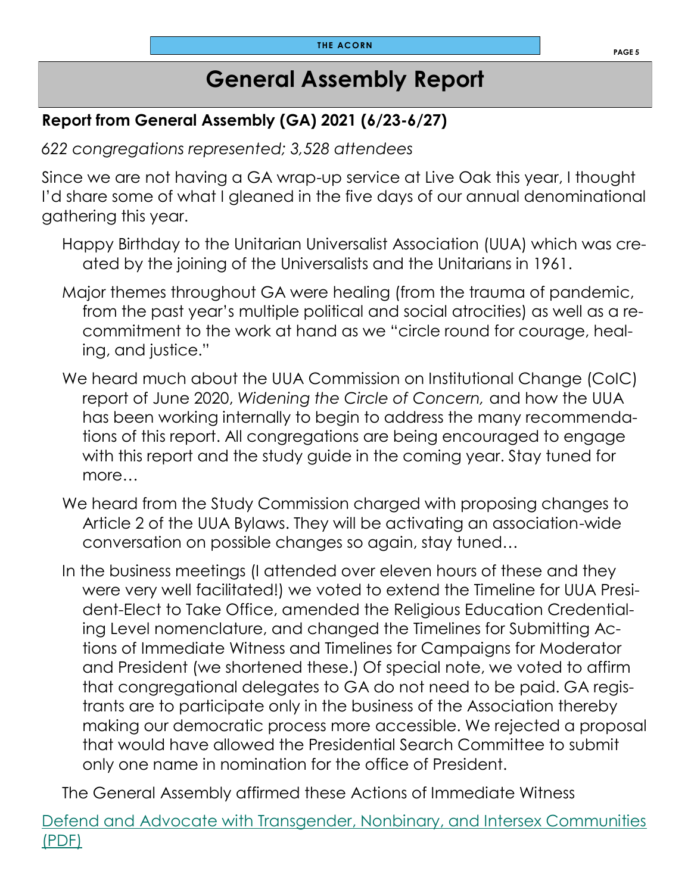### **General Assembly Report**

#### **Report from General Assembly (GA) 2021 (6/23-6/27)**

*622 congregations represented; 3,528 attendees*

Since we are not having a GA wrap-up service at Live Oak this year, I thought I'd share some of what I gleaned in the five days of our annual denominational gathering this year.

- Happy Birthday to the Unitarian Universalist Association (UUA) which was created by the joining of the Universalists and the Unitarians in 1961.
- Major themes throughout GA were healing (from the trauma of pandemic, from the past year's multiple political and social atrocities) as well as a recommitment to the work at hand as we "circle round for courage, healing, and justice."
- We heard much about the UUA Commission on Institutional Change (CoIC) report of June 2020, *Widening the Circle of Concern,* and how the UUA has been working internally to begin to address the many recommendations of this report. All congregations are being encouraged to engage with this report and the study guide in the coming year. Stay tuned for more…
- We heard from the Study Commission charged with proposing changes to Article 2 of the UUA Bylaws. They will be activating an association-wide conversation on possible changes so again, stay tuned…
- In the business meetings (I attended over eleven hours of these and they were very well facilitated!) we voted to extend the Timeline for UUA President-Elect to Take Office, amended the Religious Education Credentialing Level nomenclature, and changed the Timelines for Submitting Actions of Immediate Witness and Timelines for Campaigns for Moderator and President (we shortened these.) Of special note, we voted to affirm that congregational delegates to GA do not need to be paid. GA registrants are to participate only in the business of the Association thereby making our democratic process more accessible. We rejected a proposal that would have allowed the Presidential Search Committee to submit only one name in nomination for the office of President.

The General Assembly affirmed these Actions of Immediate Witness

[Defend and Advocate with Transgender, Nonbinary, and Intersex Communities](https://r20.rs6.net/tn.jsp?f=001xP-z8mIJLgzXejtqUWoWQbsBd7GzaY7vk1G8svu4tVydBjV-Fl3bR7xF6mCMI_2VZ9juNAh7XunDGudNTqzEc_eAeq3C9XwniTvopevRi00OqGJUHnD6mKhC44WYtHUZZ-aE9Pmt_RlQhJy73GFyKMaLOJPmT2XDvXB7Z6y8QazdUnB4lTyx7PEuqvs7fgTEZwAhFZnpUvk=&c=7SDoySKe9-gKzLZByljH)  [\(PDF\)](https://r20.rs6.net/tn.jsp?f=001xP-z8mIJLgzXejtqUWoWQbsBd7GzaY7vk1G8svu4tVydBjV-Fl3bR7xF6mCMI_2VZ9juNAh7XunDGudNTqzEc_eAeq3C9XwniTvopevRi00OqGJUHnD6mKhC44WYtHUZZ-aE9Pmt_RlQhJy73GFyKMaLOJPmT2XDvXB7Z6y8QazdUnB4lTyx7PEuqvs7fgTEZwAhFZnpUvk=&c=7SDoySKe9-gKzLZByljH)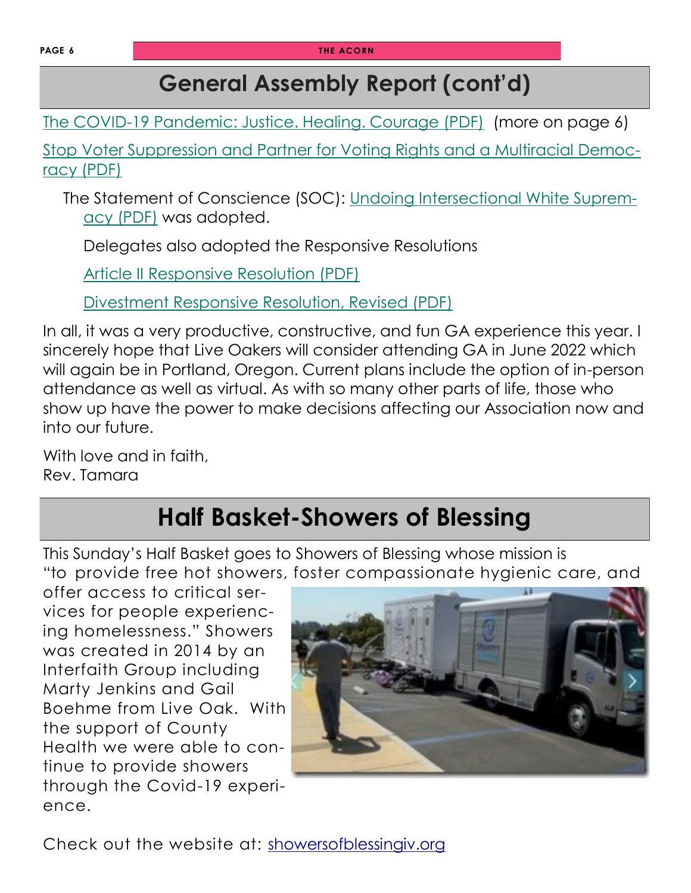# **General Assembly Report (cont'd)**

[The COVID-19 Pandemic: Justice. Healing. Courage \(PDF\)](https://r20.rs6.net/tn.jsp?f=001xP-z8mIJLgzXejtqUWoWQbsBd7GzaY7vk1G8svu4tVydBjV-Fl3bR7xF6mCMI_2V0pFYMffw2OqP0df6R54oZw4lah2I9cxoxSDpx0Sfaeqjpcq-zN6pm7ypdjRhN-6eJe24ioVrM99Ovk_KuHfcyJCIVb538HxEUU0R9CpQ2RzVCl5TFnX8LOGQgMAUpjmzD0Kwm3l6m-MbzFEv1QYEaA==&c=7SDoySKe) (more on page 6)

[Stop Voter Suppression and Partner for Voting Rights and a Multiracial Democ](https://r20.rs6.net/tn.jsp?f=001xP-z8mIJLgzXejtqUWoWQbsBd7GzaY7vk1G8svu4tVydBjV-Fl3bR7xF6mCMI_2VyhG3Q4PL4fVjOpT7KAfJA_jxN_odUwM4PjDTIlhtYFOXr397eFc4Uya-PK7fiWwYcqV7Y8-OhAHIC0u3841ZwsSOZtEmEcQXdRe1vs1mENyu-on_6dJmIXWB_v3wYtvWzmkps6eP6IhEzloAmlG_Zw==&c=7SDoySKe)[racy \(PDF\)](https://r20.rs6.net/tn.jsp?f=001xP-z8mIJLgzXejtqUWoWQbsBd7GzaY7vk1G8svu4tVydBjV-Fl3bR7xF6mCMI_2VyhG3Q4PL4fVjOpT7KAfJA_jxN_odUwM4PjDTIlhtYFOXr397eFc4Uya-PK7fiWwYcqV7Y8-OhAHIC0u3841ZwsSOZtEmEcQXdRe1vs1mENyu-on_6dJmIXWB_v3wYtvWzmkps6eP6IhEzloAmlG_Zw==&c=7SDoySKe)

The Statement of Conscience (SOC): [Undoing Intersectional White Suprem](https://r20.rs6.net/tn.jsp?f=001xP-z8mIJLgzXejtqUWoWQbsBd7GzaY7vk1G8svu4tVydBjV-Fl3bR7xF6mCMI_2Vr5p-KNTYnyntB2pU4e1BgOzBxC16TGcF_3KeRnL5IgIVAjv_XvQ2nlHOb8zI5la-X6aMthdt8uiHeo5nHoFizkVTHbLntmT37IY2rl5og8Nf_k3n_IibVoMpSOnimfLUw-POPf-Vi6D7LaG3TXsvfw==&c=7SDoySKe)acy [\(PDF\)](https://r20.rs6.net/tn.jsp?f=001xP-z8mIJLgzXejtqUWoWQbsBd7GzaY7vk1G8svu4tVydBjV-Fl3bR7xF6mCMI_2Vr5p-KNTYnyntB2pU4e1BgOzBxC16TGcF_3KeRnL5IgIVAjv_XvQ2nlHOb8zI5la-X6aMthdt8uiHeo5nHoFizkVTHbLntmT37IY2rl5og8Nf_k3n_IibVoMpSOnimfLUw-POPf-Vi6D7LaG3TXsvfw==&c=7SDoySKe) was adopted.

Delegates also adopted the Responsive Resolutions

[Article II Responsive Resolution \(PDF\)](https://r20.rs6.net/tn.jsp?f=001xP-z8mIJLgzXejtqUWoWQbsBd7GzaY7vk1G8svu4tVydBjV-Fl3bR7xF6mCMI_2VFd1y6AV7v2TTvr1jImr48A2d_1Jd5qzcWIfGC6yhv9D-xA6v3iyKE3Yqs7D-GWfWyZ3XeBqdztOYlqhcKY1jq_WOGJ8e50VSDqsLq2cNMb-z9Jw-zMx4-5O8LosI1KXiwzhb5ln_gxXUYnuU1SEkSaTmF71OnJVi&c=)

[Divestment Responsive Resolution, Revised \(PDF\)](https://r20.rs6.net/tn.jsp?f=001xP-z8mIJLgzXejtqUWoWQbsBd7GzaY7vk1G8svu4tVydBjV-Fl3bR7xF6mCMI_2VilViVNU_f0AA-9T-Wcaa0QFcUw6xKt4TcHd8F5w8pwgGrszmHlmA2ORt4DMmstJO4iJ2rhZBQ_y8O9pNtagcZPziZlbe-XWt_XnqrwQhjG8wkN5-_6oXjuATRu3FOr_pG9priaIuLkoplVNJZ_rJY4dVKoLZwyFqmoV)

In all, it was a very productive, constructive, and fun GA experience this year. I sincerely hope that Live Oakers will consider attending GA in June 2022 which will again be in Portland, Oregon. Current plans include the option of in-person attendance as well as virtual. As with so many other parts of life, those who show up have the power to make decisions affecting our Association now and into our future.

With love and in faith, Rev. Tamara

# **Half Basket-Showers of Blessing**

This Sunday's Half Basket goes to Showers of Blessing whose mission is "to provide free hot showers, foster compassionate hygienic care, and

offer access to critical services for people experiencing homelessness." Showers was created in 2014 by an Interfaith Group including Marty Jenkins and Gail Boehme from Live Oak. With the support of County Health we were able to continue to provide showers through the Covid-19 experience.



Check out the website at: [showersofblessingiv.org](https://showersofblessingiv.org/)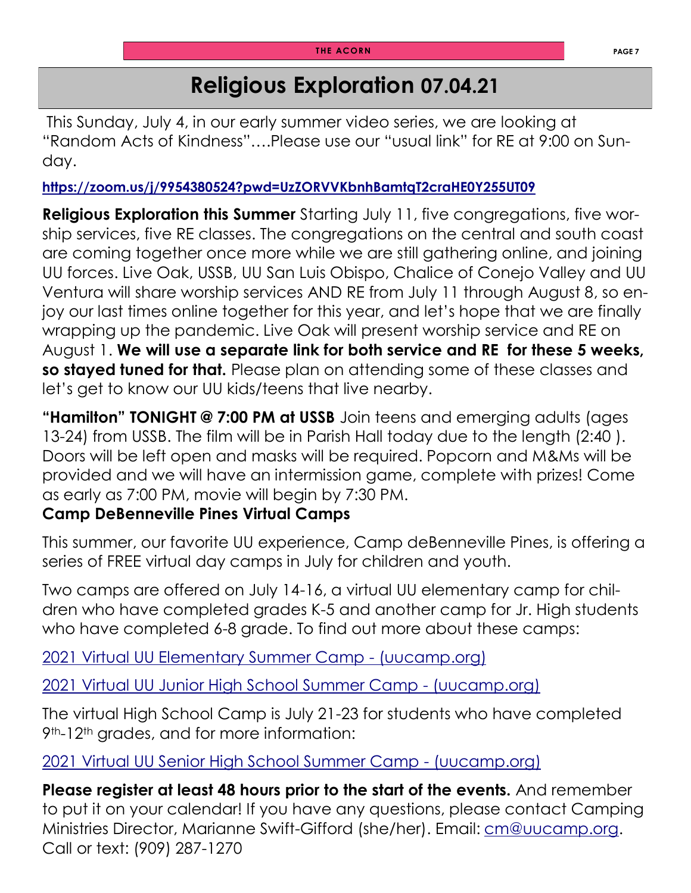## **Religious Exploration 07.04.21**

This Sunday, July 4, in our early summer video series, we are looking at "Random Acts of Kindness"….Please use our "usual link" for RE at 9:00 on Sunday.

**<https://zoom.us/j/9954380524?pwd=UzZORVVKbnhBamtqT2craHE0Y255UT09>**

**Religious Exploration this Summer** Starting July 11, five congregations, five worship services, five RE classes. The congregations on the central and south coast are coming together once more while we are still gathering online, and joining UU forces. Live Oak, USSB, UU San Luis Obispo, Chalice of Conejo Valley and UU Ventura will share worship services AND RE from July 11 through August 8, so enjoy our last times online together for this year, and let's hope that we are finally wrapping up the pandemic. Live Oak will present worship service and RE on August 1. **We will use a separate link for both service and RE for these 5 weeks, so stayed tuned for that.** Please plan on attending some of these classes and let's get to know our UU kids/teens that live nearby.

**"Hamilton" TONIGHT @ 7:00 PM at USSB** Join teens and emerging adults (ages 13-24) from USSB. The film will be in Parish Hall today due to the length (2:40 ). Doors will be left open and masks will be required. Popcorn and M&Ms will be provided and we will have an intermission game, complete with prizes! Come as early as 7:00 PM, movie will begin by 7:30 PM.

#### **Camp DeBenneville Pines Virtual Camps**

This summer, our favorite UU experience, Camp deBenneville Pines, is offering a series of FREE virtual day camps in July for children and youth.

Two camps are offered on July 14-16, a virtual UU elementary camp for children who have completed grades K-5 and another camp for Jr. High students who have completed 6-8 grade. To find out more about these camps:

[2021 Virtual UU Elementary Summer Camp -](https://www.uucamp.org/camps-retreats/youth-camps/2021-virtual-uu-elementary-summer-camp/?blm_aid=32376) (uucamp.org)

[2021 Virtual UU Junior High School Summer Camp -](https://www.uucamp.org/camps-retreats/youth-camps/2021-virtual-uu-junior-high-school-summer-camp-2/?blm_aid=32376) (uucamp.org)

The virtual High School Camp is July 21-23 for students who have completed 9<sup>th</sup>-12<sup>th</sup> grades, and for more information:

[2021 Virtual UU Senior High School Summer Camp -](https://www.uucamp.org/camps-retreats/youth-camps/2021-virtual-uu-senior-high-school-summer-camp/?blm_aid=32376) (uucamp.org)

**Please register at least 48 hours prior to the start of the events.** And remember to put it on your calendar! If you have any questions, please contact Camping Ministries Director, Marianne Swift-Gifford (she/her). Email: [cm@uucamp.org.](mailto:cm@uucamp.org) Call or text: (909) 287-1270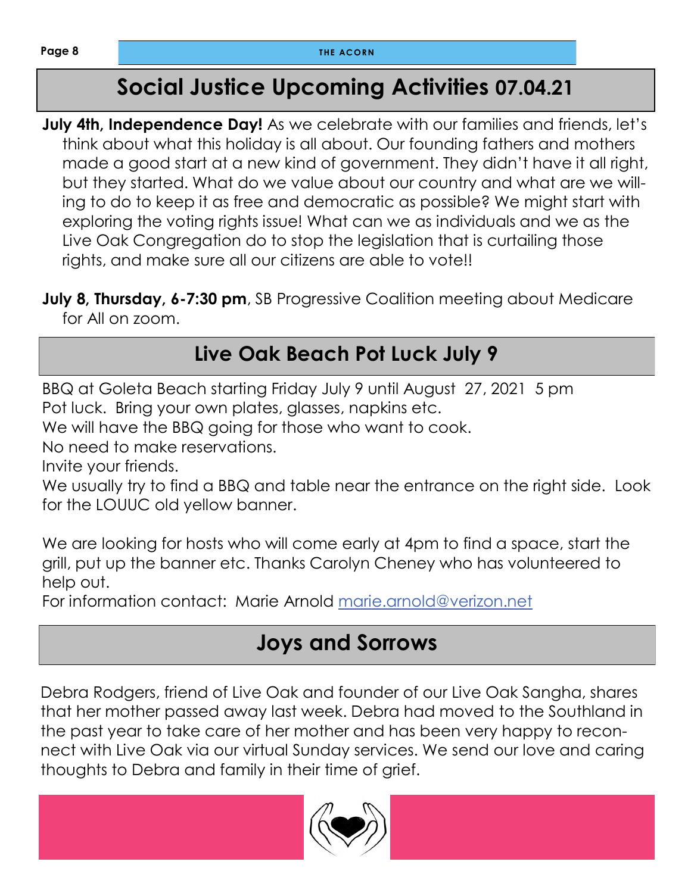# **Social Justice Upcoming Activities 07.04.21**

**July 4th, Independence Day!** As we celebrate with our families and friends, let's think about what this holiday is all about. Our founding fathers and mothers made a good start at a new kind of government. They didn't have it all right, but they started. What do we value about our country and what are we willing to do to keep it as free and democratic as possible? We might start with exploring the voting rights issue! What can we as individuals and we as the Live Oak Congregation do to stop the legislation that is curtailing those rights, and make sure all our citizens are able to vote!!

**July 8, Thursday, 6-7:30 pm,** SB Progressive Coalition meeting about Medicare for All on zoom.

# **Live Oak Beach Pot Luck July 9**

BBQ at Goleta Beach starting Friday July 9 until August 27, 2021 5 pm Pot luck. Bring your own plates, glasses, napkins etc.

We will have the BBQ going for those who want to cook.

No need to make reservations.

Invite your friends.

We usually try to find a BBQ and table near the entrance on the right side. Look for the LOUUC old yellow banner.

We are looking for hosts who will come early at 4pm to find a space, start the grill, put up the banner etc. Thanks Carolyn Cheney who has volunteered to help out.

For information contact: Marie Arnold [marie.arnold@verizon.net](mailto:marie.arnold@verizon.net)

### **Joys and Sorrows**

Debra Rodgers, friend of Live Oak and founder of our Live Oak Sangha, shares that her mother passed away last week. Debra had moved to the Southland in the past year to take care of her mother and has been very happy to reconnect with Live Oak via our virtual Sunday services. We send our love and caring thoughts to Debra and family in their time of grief.

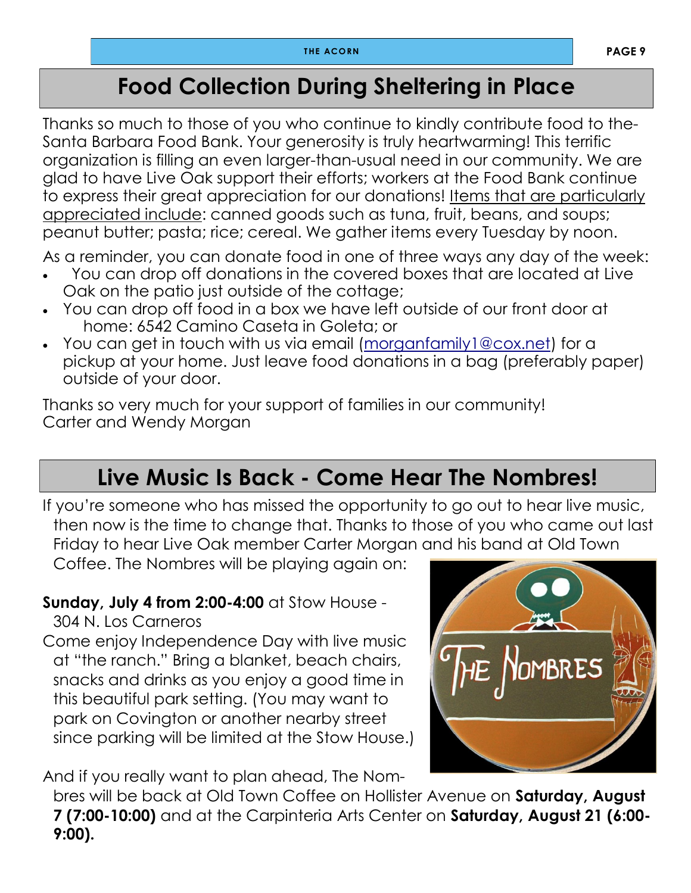# **Food Collection During Sheltering in Place**

Thanks so much to those of you who continue to kindly contribute food to the-Santa Barbara Food Bank. Your generosity is truly heartwarming! This terrific organization is filling an even larger-than-usual need in our community. We are glad to have Live Oak support their efforts; workers at the Food Bank continue to express their great appreciation for our donations! Items that are particularly appreciated include: canned goods such as tuna, fruit, beans, and soups; peanut butter; pasta; rice; cereal. We gather items every Tuesday by noon.

As a reminder, you can donate food in one of three ways any day of the week:

- You can drop off donations in the covered boxes that are located at Live Oak on the patio just outside of the cottage;
- You can drop off food in a box we have left outside of our front door at home: 6542 Camino Caseta in Goleta; or
- You can get in touch with us via email ([morganfamily1@cox.net\)](mailto:morganfamily1@cox.net) for a pickup at your home. Just leave food donations in a bag (preferably paper) outside of your door.

Thanks so very much for your support of families in our community! Carter and Wendy Morgan

# **Live Music Is Back - Come Hear The Nombres!**

If you're someone who has missed the opportunity to go out to hear live music, then now is the time to change that. Thanks to those of you who came out last Friday to hear Live Oak member Carter Morgan and his band at Old Town

Coffee. The Nombres will be playing again on:

#### **Sunday, July 4 from 2:00-4:00** at Stow House -

304 N. Los Carneros

Come enjoy Independence Day with live music at "the ranch." Bring a blanket, beach chairs, snacks and drinks as you enjoy a good time in this beautiful park setting. (You may want to park on Covington or another nearby street since parking will be limited at the Stow House.)

And if you really want to plan ahead, The Nom-

bres will be back at Old Town Coffee on Hollister Avenue on **Saturday, August 7 (7:00-10:00)** and at the Carpinteria Arts Center on **Saturday, August 21 (6:00- 9:00).**

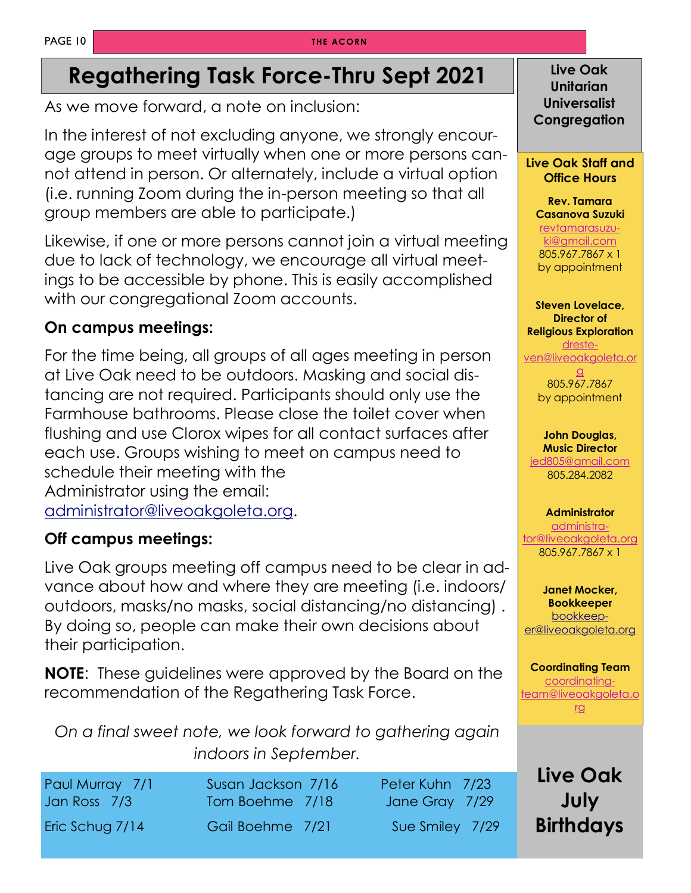#### **THE ACORN**

# **Regathering Task Force-Thru Sept 2021 Live Oak**

As we move forward, a note on inclusion:

In the interest of not excluding anyone, we strongly encourage groups to meet virtually when one or more persons cannot attend in person. Or alternately, include a virtual option (i.e. running Zoom during the in-person meeting so that all group members are able to participate.)

Likewise, if one or more persons cannot join a virtual meeting due to lack of technology, we encourage all virtual meetings to be accessible by phone. This is easily accomplished with our congregational Zoom accounts.

#### **On campus meetings:**

For the time being, all groups of all ages meeting in person at Live Oak need to be outdoors. Masking and social distancing are not required. Participants should only use the Farmhouse bathrooms. Please close the toilet cover when flushing and use Clorox wipes for all contact surfaces after each use. Groups wishing to meet on campus need to schedule their meeting with the Administrator using the email: [administrator@liveoakgoleta.org.](mailto:administrator@liveoakgoleta.org) 

#### **Off campus meetings:**

Live Oak groups meeting off campus need to be clear in advance about how and where they are meeting (i.e. indoors/ outdoors, masks/no masks, social distancing/no distancing) . By doing so, people can make their own decisions about their participation.

**NOTE**: These guidelines were approved by the Board on the recommendation of the Regathering Task Force.

*On a final sweet note, we look forward to gathering again indoors in September.* 

| Paul Murray 7/1<br>Jan Ross 7/3 | Susan Jackson 7/16<br>Tom Boehme 7/18 | Peter Kuhn 7/23<br>Jane Gray 7/29 | Liv         |  |
|---------------------------------|---------------------------------------|-----------------------------------|-------------|--|
| Eric Schug 7/14                 | Gail Boehme 7/21                      | Sue Smiley 7/29                   | <b>Birl</b> |  |

**Unitarian Universalist Congregation**

#### **Live Oak Staff and Office Hours**

**Rev. Tamara Casanova Suzuki**

[revtamarasuzu](mailto:revtamarasuzuki@gmail.com)[ki@gmail.com](mailto:revtamarasuzuki@gmail.com) 805.967.7867 x 1 by appointment

**Steven Lovelace, Director of Religious Exploration** [dreste](mailto:dresteven@liveoakgoleta.org)[ven@liveoakgoleta.or](mailto:dresteven@liveoakgoleta.org)

[g](mailto:dresteven@liveoakgoleta.org) 805.967.7867 by appointment

**John Douglas, Music Director**

[jed805@gmail.com](mailto:jed805@gmail.com) 805.284.2082

#### **Administrator**

[administra](mailto:administrator@liveoakgoleta.org)[tor@liveoakgoleta.org](mailto:administrator@liveoakgoleta.org) 805.967.7867 x 1

**Janet Mocker, Bookkeeper** [bookkeep](mailto:sbsurj@gmail.com)[er@liveoakgoleta.org](mailto:sbsurj@gmail.com)

**Coordinating Team** [coordinating](mailto:coordinatingteam@liveoakgoleta.org)[team@liveoakgoleta.o](mailto:coordinatingteam@liveoakgoleta.org) [rg](mailto:coordinatingteam@liveoakgoleta.org)

> **Live Oak July Birthdays**